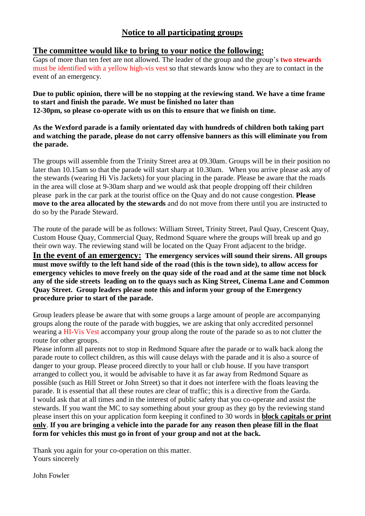## **Notice to all participating groups**

## **The committee would like to bring to your notice the following:**

Gaps of more than ten feet are not allowed. The leader of the group and the group's **two stewards** must be identified with a yellow high-vis vest so that stewards know who they are to contact in the event of an emergency.

**Due to public opinion, there will be no stopping at the reviewing stand. We have a time frame to start and finish the parade. We must be finished no later than 12-30pm, so please co-operate with us on this to ensure that we finish on time.**

**As the Wexford parade is a family orientated day with hundreds of children both taking part and watching the parade, please do not carry offensive banners as this will eliminate you from the parade.**

The groups will assemble from the Trinity Street area at 09.30am. Groups will be in their position no later than 10.15am so that the parade will start sharp at 10.30am. When you arrive please ask any of the stewards (wearing Hi Vis Jackets) for your placing in the parade. Please be aware that the roads in the area will close at 9-30am sharp and we would ask that people dropping off their children please park in the car park at the tourist office on the Quay and do not cause congestion. **Please move to the area allocated by the stewards** and do not move from there until you are instructed to do so by the Parade Steward.

The route of the parade will be as follows: William Street, Trinity Street, Paul Quay, Crescent Quay, Custom House Quay, Commercial Quay, Redmond Square where the groups will break up and go their own way. The reviewing stand will be located on the Quay Front adjacent to the bridge.

**In the event of an emergency: The emergency services will sound their sirens. All groups must move swiftly to the left hand side of the road (this is the town side), to allow access for emergency vehicles to move freely on the quay side of the road and at the same time not block any of the side streets leading on to the quays such as King Street, Cinema Lane and Common Quay Street. Group leaders please note this and inform your group of the Emergency procedure prior to start of the parade.**

Group leaders please be aware that with some groups a large amount of people are accompanying groups along the route of the parade with buggies, we are asking that only accredited personnel wearing a HI-Vis Vest accompany your group along the route of the parade so as to not clutter the route for other groups.

Please inform all parents not to stop in Redmond Square after the parade or to walk back along the parade route to collect children, as this will cause delays with the parade and it is also a source of danger to your group. Please proceed directly to your hall or club house. If you have transport arranged to collect you, it would be advisable to have it as far away from Redmond Square as possible (such as Hill Street or John Street) so that it does not interfere with the floats leaving the parade. It is essential that all these routes are clear of traffic; this is a directive from the Garda. I would ask that at all times and in the interest of public safety that you co-operate and assist the stewards. If you want the MC to say something about your group as they go by the reviewing stand please insert this on your application form keeping it confined to 30 words in **block capitals or print only**. **If you are bringing a vehicle into the parade for any reason then please fill in the float form for vehicles this must go in front of your group and not at the back.**

Thank you again for your co-operation on this matter. Yours sincerely

John Fowler